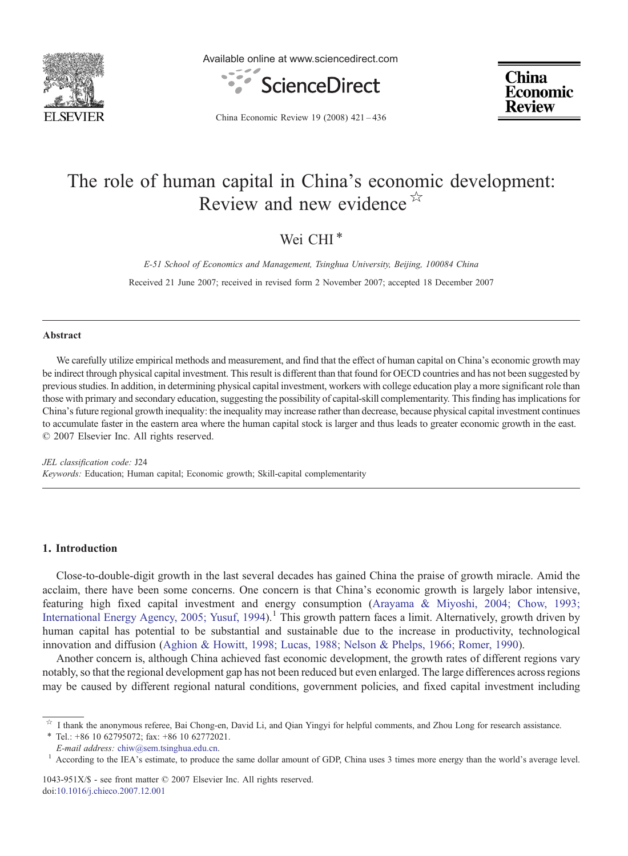

Available online at www.sciencedirect.com



**China Economic** Review

China Economic Review 19 (2008) 421–436

# The role of human capital in China's economic development: Review and new evidence  $\overrightarrow{x}$

## Wei CHI<sup>\*</sup>

E-51 School of Economics and Management, Tsinghua University, Beijing, 100084 China

Received 21 June 2007; received in revised form 2 November 2007; accepted 18 December 2007

#### Abstract

We carefully utilize empirical methods and measurement, and find that the effect of human capital on China's economic growth may be indirect through physical capital investment. This result is different than that found for OECD countries and has not been suggested by previous studies. In addition, in determining physical capital investment, workers with college education play a more significant role than those with primary and secondary education, suggesting the possibility of capital-skill complementarity. This finding has implications for China's future regional growth inequality: the inequality may increase rather than decrease, because physical capital investment continues to accumulate faster in the eastern area where the human capital stock is larger and thus leads to greater economic growth in the east. © 2007 Elsevier Inc. All rights reserved.

JEL classification code: J24 Keywords: Education; Human capital; Economic growth; Skill-capital complementarity

### 1. Introduction

Close-to-double-digit growth in the last several decades has gained China the praise of growth miracle. Amid the acclaim, there have been some concerns. One concern is that China's economic growth is largely labor intensive, featuring high fixed capital investment and energy consumption [\(Arayama & Miyoshi, 2004; Chow, 1993;](#page--1-0) [International Energy Agency, 2005; Yusuf, 1994](#page--1-0)).<sup>1</sup> This growth pattern faces a limit. Alternatively, growth driven by human capital has potential to be substantial and sustainable due to the increase in productivity, technological innovation and diffusion [\(Aghion & Howitt, 1998; Lucas, 1988; Nelson & Phelps, 1966; Romer, 1990\)](#page--1-0).

Another concern is, although China achieved fast economic development, the growth rates of different regions vary notably, so that the regional development gap has not been reduced but even enlarged. The large differences across regions may be caused by different regional natural conditions, government policies, and fixed capital investment including

⁎ Tel.: +86 10 62795072; fax: +86 10 62772021.

I thank the anonymous referee, Bai Chong-en, David Li, and Qian Yingyi for helpful comments, and Zhou Long for research assistance.

E-mail address: [chiw@sem.tsinghua.edu.cn.](mailto:chiw@sem.tsinghua.edu.cn) 1 According to the Same dollar amount of GDP, China uses 3 times more energy than the world's average level.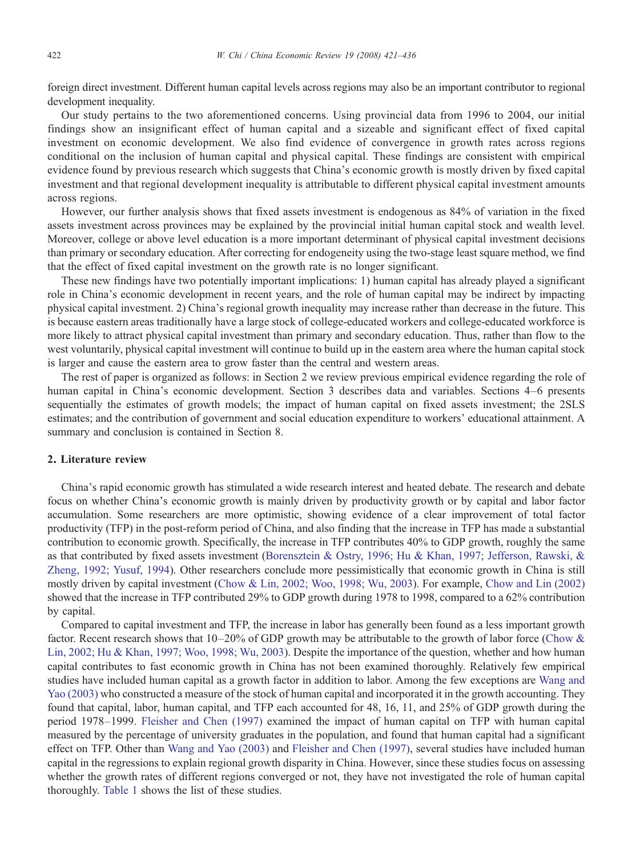foreign direct investment. Different human capital levels across regions may also be an important contributor to regional development inequality.

Our study pertains to the two aforementioned concerns. Using provincial data from 1996 to 2004, our initial findings show an insignificant effect of human capital and a sizeable and significant effect of fixed capital investment on economic development. We also find evidence of convergence in growth rates across regions conditional on the inclusion of human capital and physical capital. These findings are consistent with empirical evidence found by previous research which suggests that China's economic growth is mostly driven by fixed capital investment and that regional development inequality is attributable to different physical capital investment amounts across regions.

However, our further analysis shows that fixed assets investment is endogenous as 84% of variation in the fixed assets investment across provinces may be explained by the provincial initial human capital stock and wealth level. Moreover, college or above level education is a more important determinant of physical capital investment decisions than primary or secondary education. After correcting for endogeneity using the two-stage least square method, we find that the effect of fixed capital investment on the growth rate is no longer significant.

These new findings have two potentially important implications: 1) human capital has already played a significant role in China's economic development in recent years, and the role of human capital may be indirect by impacting physical capital investment. 2) China's regional growth inequality may increase rather than decrease in the future. This is because eastern areas traditionally have a large stock of college-educated workers and college-educated workforce is more likely to attract physical capital investment than primary and secondary education. Thus, rather than flow to the west voluntarily, physical capital investment will continue to build up in the eastern area where the human capital stock is larger and cause the eastern area to grow faster than the central and western areas.

The rest of paper is organized as follows: in Section 2 we review previous empirical evidence regarding the role of human capital in China's economic development. Section 3 describes data and variables. Sections 4–6 presents sequentially the estimates of growth models; the impact of human capital on fixed assets investment; the 2SLS estimates; and the contribution of government and social education expenditure to workers' educational attainment. A summary and conclusion is contained in Section 8.

### 2. Literature review

China's rapid economic growth has stimulated a wide research interest and heated debate. The research and debate focus on whether China's economic growth is mainly driven by productivity growth or by capital and labor factor accumulation. Some researchers are more optimistic, showing evidence of a clear improvement of total factor productivity (TFP) in the post-reform period of China, and also finding that the increase in TFP has made a substantial contribution to economic growth. Specifically, the increase in TFP contributes 40% to GDP growth, roughly the same as that contributed by fixed assets investment [\(Borensztein & Ostry, 1996; Hu & Khan, 1997; Jefferson, Rawski, &](#page--1-0) [Zheng, 1992; Yusuf, 1994](#page--1-0)). Other researchers conclude more pessimistically that economic growth in China is still mostly driven by capital investment [\(Chow & Lin, 2002; Woo, 1998; Wu, 2003](#page--1-0)). For example, [Chow and Lin \(2002\)](#page--1-0) showed that the increase in TFP contributed 29% to GDP growth during 1978 to 1998, compared to a 62% contribution by capital.

Compared to capital investment and TFP, the increase in labor has generally been found as a less important growth factor. Recent research shows that 10–20% of GDP growth may be attributable to the growth of labor force [\(Chow &](#page--1-0) [Lin, 2002; Hu & Khan, 1997; Woo, 1998; Wu, 2003\)](#page--1-0). Despite the importance of the question, whether and how human capital contributes to fast economic growth in China has not been examined thoroughly. Relatively few empirical studies have included human capital as a growth factor in addition to labor. Among the few exceptions are [Wang and](#page--1-0) [Yao \(2003\)](#page--1-0) who constructed a measure of the stock of human capital and incorporated it in the growth accounting. They found that capital, labor, human capital, and TFP each accounted for 48, 16, 11, and 25% of GDP growth during the period 1978–1999. [Fleisher and Chen \(1997\)](#page--1-0) examined the impact of human capital on TFP with human capital measured by the percentage of university graduates in the population, and found that human capital had a significant effect on TFP. Other than [Wang and Yao \(2003\)](#page--1-0) and [Fleisher and Chen \(1997\),](#page--1-0) several studies have included human capital in the regressions to explain regional growth disparity in China. However, since these studies focus on assessing whether the growth rates of different regions converged or not, they have not investigated the role of human capital thoroughly. [Table 1](#page--1-0) shows the list of these studies.